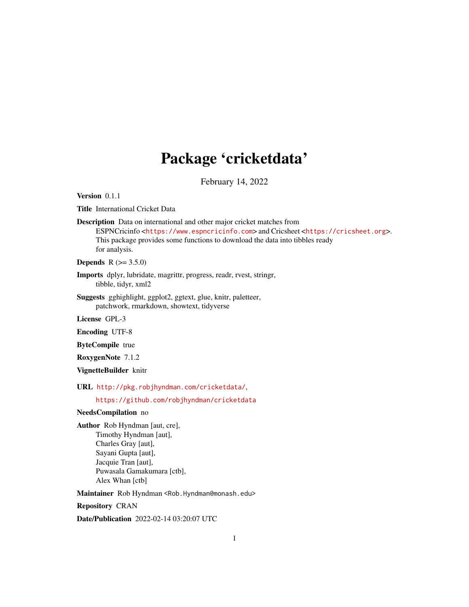## Package 'cricketdata'

February 14, 2022

Version 0.1.1

Title International Cricket Data

Description Data on international and other major cricket matches from ESPNCricinfo <<https://www.espncricinfo.com>> and Cricsheet <<https://cricsheet.org>>. This package provides some functions to download the data into tibbles ready for analysis.

**Depends** R  $(>= 3.5.0)$ 

Imports dplyr, lubridate, magrittr, progress, readr, rvest, stringr, tibble, tidyr, xml2

Suggests gghighlight, ggplot2, ggtext, glue, knitr, paletteer, patchwork, rmarkdown, showtext, tidyverse

License GPL-3

Encoding UTF-8

ByteCompile true

RoxygenNote 7.1.2

VignetteBuilder knitr

URL <http://pkg.robjhyndman.com/cricketdata/>,

<https://github.com/robjhyndman/cricketdata>

#### NeedsCompilation no

Author Rob Hyndman [aut, cre], Timothy Hyndman [aut], Charles Gray [aut], Sayani Gupta [aut], Jacquie Tran [aut], Puwasala Gamakumara [ctb], Alex Whan [ctb]

Maintainer Rob Hyndman <Rob.Hyndman@monash.edu>

Repository CRAN

Date/Publication 2022-02-14 03:20:07 UTC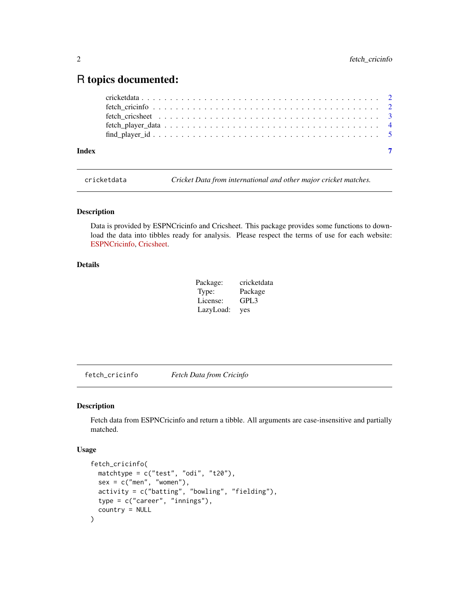### <span id="page-1-0"></span>R topics documented:

cricketdata *Cricket Data from international and other major cricket matches.*

#### Description

Data is provided by ESPNCricinfo and Cricsheet. This package provides some functions to download the data into tibbles ready for analysis. Please respect the terms of use for each website: [ESPNCricinfo,](https://www.espncricinfo.com/ci/content/site/company/terms_use.html) [Cricsheet.](https://cricsheet.org/register/)

#### Details

| Package:  | cricketdata |
|-----------|-------------|
| Type:     | Package     |
| License:  | GPL3        |
| LazyLoad: | yes         |

fetch\_cricinfo *Fetch Data from Cricinfo*

#### Description

Fetch data from ESPNCricinfo and return a tibble. All arguments are case-insensitive and partially matched.

#### Usage

```
fetch_cricinfo(
 matchtype = c("test", "odi", "t20"),
  sex = c("men", "woman"),activity = c("batting", "bowling", "fielding"),
  type = c("career", "innings"),
  country = NULL
\mathcal{E}
```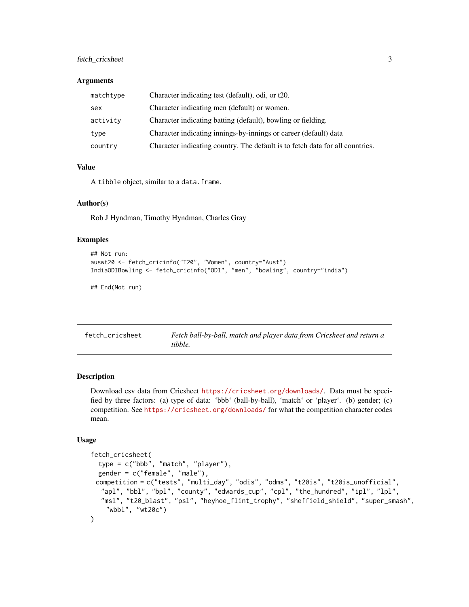#### <span id="page-2-0"></span>fetch\_cricsheet 3

#### **Arguments**

| matchtype | Character indicating test (default), odi, or t20.                             |
|-----------|-------------------------------------------------------------------------------|
| sex       | Character indicating men (default) or women.                                  |
| activity  | Character indicating batting (default), bowling or fielding.                  |
| type      | Character indicating innings-by-innings or career (default) data              |
| country   | Character indicating country. The default is to fetch data for all countries. |

#### Value

A tibble object, similar to a data.frame.

#### Author(s)

Rob J Hyndman, Timothy Hyndman, Charles Gray

#### Examples

```
## Not run:
auswt20 <- fetch_cricinfo("T20", "Women", country="Aust")
IndiaODIBowling <- fetch_cricinfo("ODI", "men", "bowling", country="india")
```

```
## End(Not run)
```

| fetch cricsheet | Fetch ball-by-ball, match and player data from Cricsheet and return a |
|-----------------|-----------------------------------------------------------------------|
|                 | tibble.                                                               |

#### Description

Download csv data from Cricsheet <https://cricsheet.org/downloads/>. Data must be specified by three factors: (a) type of data: 'bbb' (ball-by-ball), 'match' or 'player'. (b) gender; (c) competition. See <https://cricsheet.org/downloads/> for what the competition character codes mean.

#### Usage

```
fetch_cricsheet(
  type = c("bbb", "match", "player"),
  gender = c("female", "male"),
 competition = c("tests", "multi_day", "odis", "odms", "t20is", "t20is_unofficial",
  "apl", "bbl", "bpl", "county", "edwards_cup", "cpl", "the_hundred", "ipl", "lpl",
  "msl", "t20_blast", "psl", "heyhoe_flint_trophy", "sheffield_shield", "super_smash",
    "wbbl", "wt20c")
\mathcal{L}
```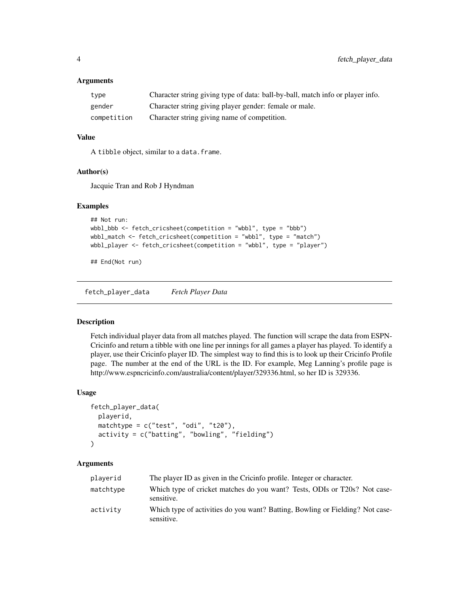#### <span id="page-3-0"></span>**Arguments**

| type        | Character string giving type of data: ball-by-ball, match info or player info. |
|-------------|--------------------------------------------------------------------------------|
| gender      | Character string giving player gender: female or male.                         |
| competition | Character string giving name of competition.                                   |

#### Value

A tibble object, similar to a data.frame.

#### Author(s)

Jacquie Tran and Rob J Hyndman

#### Examples

```
## Not run:
wbbl_bbb <- fetch_cricsheet(competition = "wbbl", type = "bbb")
wbbl_match <- fetch_cricsheet(competition = "wbbl", type = "match")
wbbl_player <- fetch_cricsheet(competition = "wbbl", type = "player")
```
## End(Not run)

fetch\_player\_data *Fetch Player Data*

#### Description

Fetch individual player data from all matches played. The function will scrape the data from ESPN-Cricinfo and return a tibble with one line per innings for all games a player has played. To identify a player, use their Cricinfo player ID. The simplest way to find this is to look up their Cricinfo Profile page. The number at the end of the URL is the ID. For example, Meg Lanning's profile page is http://www.espncricinfo.com/australia/content/player/329336.html, so her ID is 329336.

#### Usage

```
fetch_player_data(
 playerid,
 matchtype = c("test", "odi", "t20"),
 activity = c("batting", "bowling", "fielding")
\lambda
```
#### Arguments

| playerid  | The player ID as given in the Cricinfo profile. Integer or character.                       |
|-----------|---------------------------------------------------------------------------------------------|
| matchtype | Which type of cricket matches do you want? Tests, ODIs or T20s? Not case-<br>sensitive.     |
| activity  | Which type of activities do you want? Batting, Bowling or Fielding? Not case-<br>sensitive. |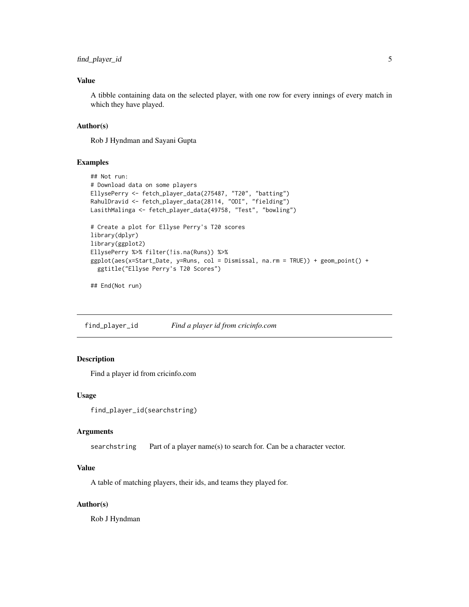#### <span id="page-4-0"></span>find\_player\_id 5

#### Value

A tibble containing data on the selected player, with one row for every innings of every match in which they have played.

#### Author(s)

Rob J Hyndman and Sayani Gupta

#### Examples

```
## Not run:
# Download data on some players
EllysePerry <- fetch_player_data(275487, "T20", "batting")
RahulDravid <- fetch_player_data(28114, "ODI", "fielding")
LasithMalinga <- fetch_player_data(49758, "Test", "bowling")
# Create a plot for Ellyse Perry's T20 scores
library(dplyr)
library(ggplot2)
EllysePerry %>% filter(!is.na(Runs)) %>%
ggplot(aes(x=Start_Date, y=Runs, col = Dismissal, na.rm = TRUE)) + geom_point() +
  ggtitle("Ellyse Perry's T20 Scores")
```
## End(Not run)

find\_player\_id *Find a player id from cricinfo.com*

#### Description

Find a player id from cricinfo.com

#### Usage

```
find_player_id(searchstring)
```
#### **Arguments**

searchstring Part of a player name(s) to search for. Can be a character vector.

#### Value

A table of matching players, their ids, and teams they played for.

#### Author(s)

Rob J Hyndman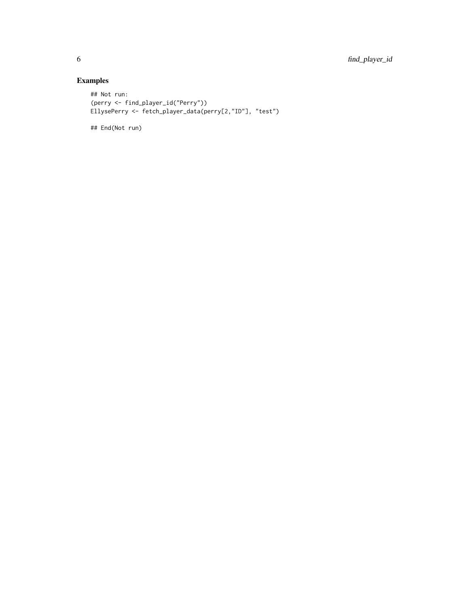#### Examples

```
## Not run:
(perry <- find_player_id("Perry"))
EllysePerry <- fetch_player_data(perry[2,"ID"], "test")
```
## End(Not run)